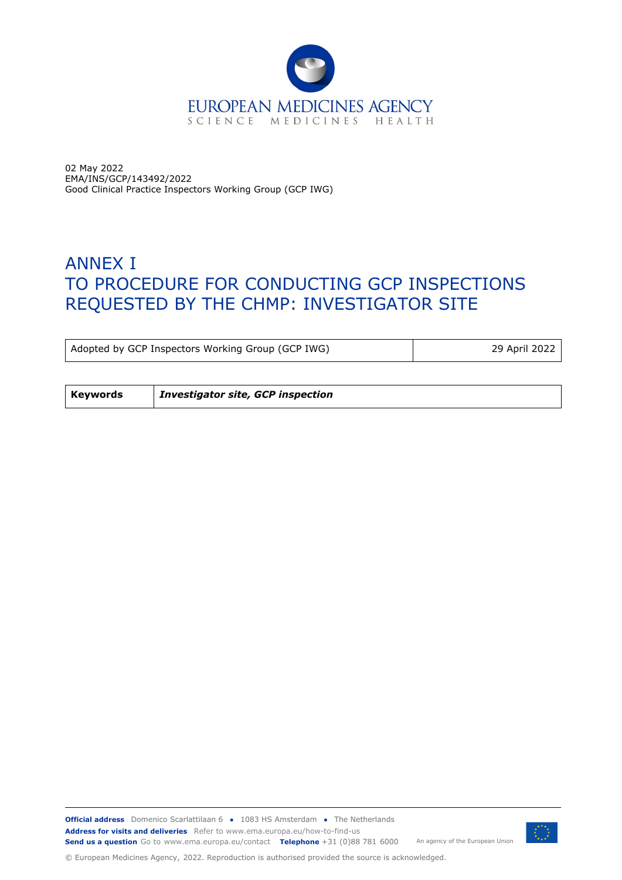

02 May 2022 EMA/INS/GCP/143492/2022 Good Clinical Practice Inspectors Working Group (GCP IWG)

# ANNEX I TO PROCEDURE FOR CONDUCTING GCP INSPECTIONS REQUESTED BY THE CHMP: INVESTIGATOR SITE

Adopted by GCP Inspectors Working Group (GCP IWG) 29 April 2022

**Keywords** *Investigator site, GCP inspection*



© European Medicines Agency, 2022. Reproduction is authorised provided the source is acknowledged.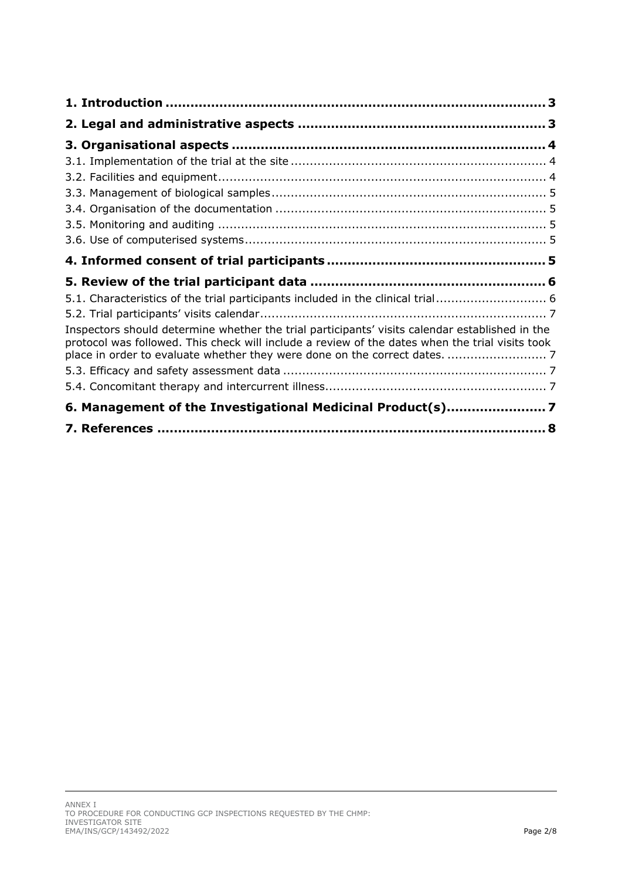| 5.1. Characteristics of the trial participants included in the clinical trial 6                                                                                                                                                                                                 |
|---------------------------------------------------------------------------------------------------------------------------------------------------------------------------------------------------------------------------------------------------------------------------------|
|                                                                                                                                                                                                                                                                                 |
| Inspectors should determine whether the trial participants' visits calendar established in the<br>protocol was followed. This check will include a review of the dates when the trial visits took<br>place in order to evaluate whether they were done on the correct dates.  7 |
|                                                                                                                                                                                                                                                                                 |
|                                                                                                                                                                                                                                                                                 |
| 6. Management of the Investigational Medicinal Product(s)7                                                                                                                                                                                                                      |
|                                                                                                                                                                                                                                                                                 |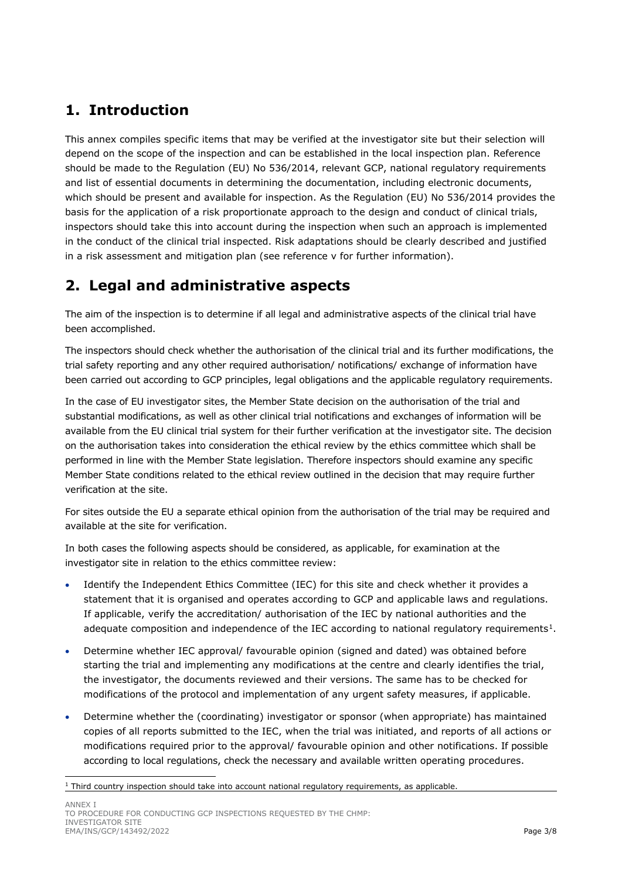## <span id="page-2-0"></span>**1. Introduction**

This annex compiles specific items that may be verified at the investigator site but their selection will depend on the scope of the inspection and can be established in the local inspection plan. Reference should be made to the Regulation (EU) No 536/2014, relevant GCP, national regulatory requirements and list of essential documents in determining the documentation, including electronic documents, which should be present and available for inspection. As the Regulation (EU) No 536/2014 provides the basis for the application of a risk proportionate approach to the design and conduct of clinical trials, inspectors should take this into account during the inspection when such an approach is implemented in the conduct of the clinical trial inspected. Risk adaptations should be clearly described and justified in a risk assessment and mitigation plan (see reference v for further information).

## <span id="page-2-1"></span>**2. Legal and administrative aspects**

The aim of the inspection is to determine if all legal and administrative aspects of the clinical trial have been accomplished.

The inspectors should check whether the authorisation of the clinical trial and its further modifications, the trial safety reporting and any other required authorisation/ notifications/ exchange of information have been carried out according to GCP principles, legal obligations and the applicable regulatory requirements.

In the case of EU investigator sites, the Member State decision on the authorisation of the trial and substantial modifications, as well as other clinical trial notifications and exchanges of information will be available from the EU clinical trial system for their further verification at the investigator site. The decision on the authorisation takes into consideration the ethical review by the ethics committee which shall be performed in line with the Member State legislation. Therefore inspectors should examine any specific Member State conditions related to the ethical review outlined in the decision that may require further verification at the site.

For sites outside the EU a separate ethical opinion from the authorisation of the trial may be required and available at the site for verification.

In both cases the following aspects should be considered, as applicable, for examination at the investigator site in relation to the ethics committee review:

- Identify the Independent Ethics Committee (IEC) for this site and check whether it provides a statement that it is organised and operates according to GCP and applicable laws and regulations. If applicable, verify the accreditation/ authorisation of the IEC by national authorities and the adequate composition and independence of the IEC according to national regulatory requirements<sup>[1](#page-2-2)</sup>.
- Determine whether IEC approval/ favourable opinion (signed and dated) was obtained before starting the trial and implementing any modifications at the centre and clearly identifies the trial, the investigator, the documents reviewed and their versions. The same has to be checked for modifications of the protocol and implementation of any urgent safety measures, if applicable.
- Determine whether the (coordinating) investigator or sponsor (when appropriate) has maintained copies of all reports submitted to the IEC, when the trial was initiated, and reports of all actions or modifications required prior to the approval/ favourable opinion and other notifications. If possible according to local regulations, check the necessary and available written operating procedures.

<span id="page-2-2"></span> $1$  Third country inspection should take into account national regulatory requirements, as applicable.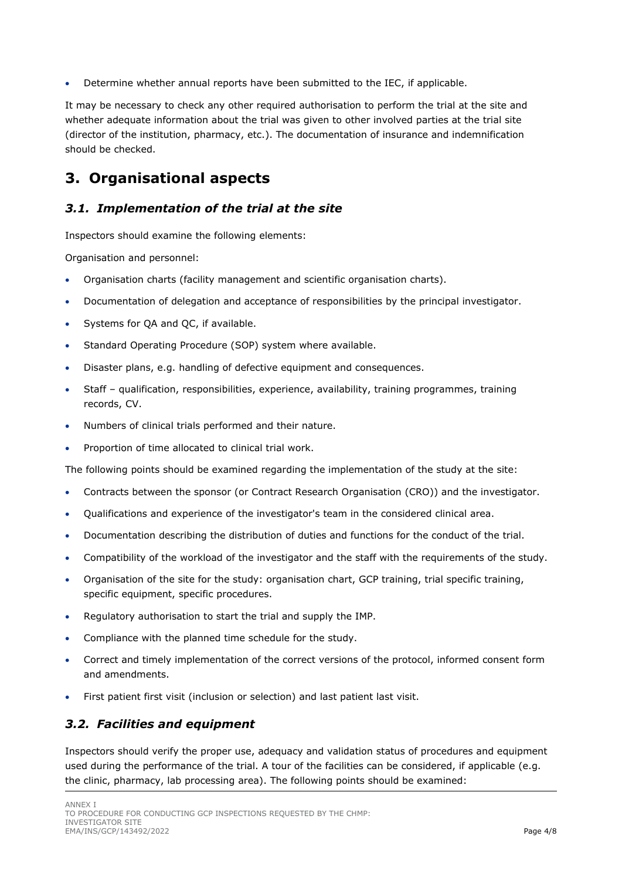• Determine whether annual reports have been submitted to the IEC, if applicable.

It may be necessary to check any other required authorisation to perform the trial at the site and whether adequate information about the trial was given to other involved parties at the trial site (director of the institution, pharmacy, etc.). The documentation of insurance and indemnification should be checked.

## <span id="page-3-0"></span>**3. Organisational aspects**

## <span id="page-3-1"></span>*3.1. Implementation of the trial at the site*

Inspectors should examine the following elements:

Organisation and personnel:

- Organisation charts (facility management and scientific organisation charts).
- Documentation of delegation and acceptance of responsibilities by the principal investigator.
- Systems for QA and QC, if available.
- Standard Operating Procedure (SOP) system where available.
- Disaster plans, e.g. handling of defective equipment and consequences.
- Staff qualification, responsibilities, experience, availability, training programmes, training records, CV.
- Numbers of clinical trials performed and their nature.
- Proportion of time allocated to clinical trial work.

The following points should be examined regarding the implementation of the study at the site:

- Contracts between the sponsor (or Contract Research Organisation (CRO)) and the investigator.
- Qualifications and experience of the investigator's team in the considered clinical area.
- Documentation describing the distribution of duties and functions for the conduct of the trial.
- Compatibility of the workload of the investigator and the staff with the requirements of the study.
- Organisation of the site for the study: organisation chart, GCP training, trial specific training, specific equipment, specific procedures.
- Regulatory authorisation to start the trial and supply the IMP.
- Compliance with the planned time schedule for the study.
- Correct and timely implementation of the correct versions of the protocol, informed consent form and amendments.
- First patient first visit (inclusion or selection) and last patient last visit.

## <span id="page-3-2"></span>*3.2. Facilities and equipment*

Inspectors should verify the proper use, adequacy and validation status of procedures and equipment used during the performance of the trial. A tour of the facilities can be considered, if applicable (e.g. the clinic, pharmacy, lab processing area). The following points should be examined: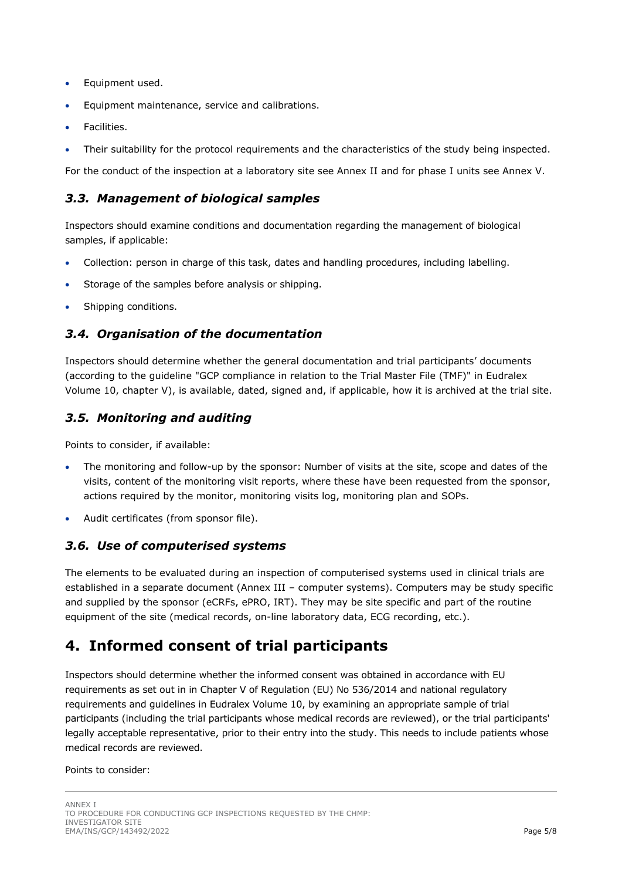- Equipment used.
- Equipment maintenance, service and calibrations.
- Facilities.
- Their suitability for the protocol requirements and the characteristics of the study being inspected.

For the conduct of the inspection at a laboratory site see Annex II and for phase I units see Annex V.

#### <span id="page-4-0"></span>*3.3. Management of biological samples*

Inspectors should examine conditions and documentation regarding the management of biological samples, if applicable:

- Collection: person in charge of this task, dates and handling procedures, including labelling.
- Storage of the samples before analysis or shipping.
- Shipping conditions.

#### <span id="page-4-1"></span>*3.4. Organisation of the documentation*

Inspectors should determine whether the general documentation and trial participants' documents (according to the guideline "GCP compliance in relation to the Trial Master File (TMF)" in Eudralex Volume 10, chapter V), is available, dated, signed and, if applicable, how it is archived at the trial site.

#### <span id="page-4-2"></span>*3.5. Monitoring and auditing*

Points to consider, if available:

- The monitoring and follow-up by the sponsor: Number of visits at the site, scope and dates of the visits, content of the monitoring visit reports, where these have been requested from the sponsor, actions required by the monitor, monitoring visits log, monitoring plan and SOPs.
- Audit certificates (from sponsor file).

#### <span id="page-4-3"></span>*3.6. Use of computerised systems*

The elements to be evaluated during an inspection of computerised systems used in clinical trials are established in a separate document (Annex III – computer systems). Computers may be study specific and supplied by the sponsor (eCRFs, ePRO, IRT). They may be site specific and part of the routine equipment of the site (medical records, on-line laboratory data, ECG recording, etc.).

## <span id="page-4-4"></span>**4. Informed consent of trial participants**

Inspectors should determine whether the informed consent was obtained in accordance with EU requirements as set out in in Chapter V of Regulation (EU) No 536/2014 and national regulatory requirements and guidelines in Eudralex Volume 10, by examining an appropriate sample of trial participants (including the trial participants whose medical records are reviewed), or the trial participants' legally acceptable representative, prior to their entry into the study. This needs to include patients whose medical records are reviewed.

#### Points to consider: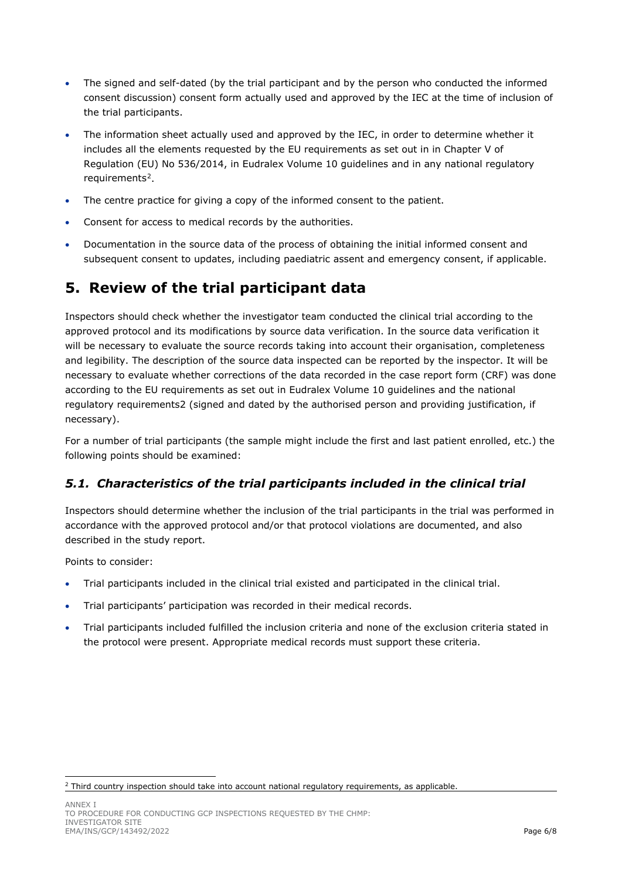- The signed and self-dated (by the trial participant and by the person who conducted the informed consent discussion) consent form actually used and approved by the IEC at the time of inclusion of the trial participants.
- The information sheet actually used and approved by the IEC, in order to determine whether it includes all the elements requested by the EU requirements as set out in in Chapter V of Regulation (EU) No 536/2014, in Eudralex Volume 10 guidelines and in any national regulatory requirements<sup>2</sup>.
- The centre practice for giving a copy of the informed consent to the patient.
- Consent for access to medical records by the authorities.
- Documentation in the source data of the process of obtaining the initial informed consent and subsequent consent to updates, including paediatric assent and emergency consent, if applicable.

## <span id="page-5-0"></span>**5. Review of the trial participant data**

Inspectors should check whether the investigator team conducted the clinical trial according to the approved protocol and its modifications by source data verification. In the source data verification it will be necessary to evaluate the source records taking into account their organisation, completeness and legibility. The description of the source data inspected can be reported by the inspector. It will be necessary to evaluate whether corrections of the data recorded in the case report form (CRF) was done according to the EU requirements as set out in Eudralex Volume 10 guidelines and the national regulatory requirements2 (signed and dated by the authorised person and providing justification, if necessary).

For a number of trial participants (the sample might include the first and last patient enrolled, etc.) the following points should be examined:

## <span id="page-5-1"></span>*5.1. Characteristics of the trial participants included in the clinical trial*

Inspectors should determine whether the inclusion of the trial participants in the trial was performed in accordance with the approved protocol and/or that protocol violations are documented, and also described in the study report.

Points to consider:

- Trial participants included in the clinical trial existed and participated in the clinical trial.
- Trial participants' participation was recorded in their medical records.
- Trial participants included fulfilled the inclusion criteria and none of the exclusion criteria stated in the protocol were present. Appropriate medical records must support these criteria.

<span id="page-5-2"></span><sup>&</sup>lt;sup>2</sup> Third country inspection should take into account national regulatory requirements, as applicable.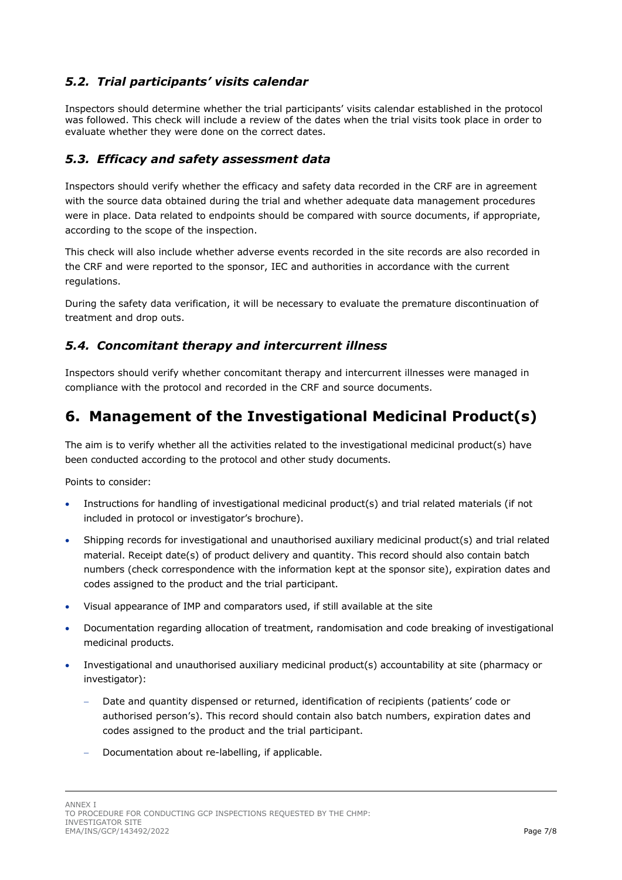## <span id="page-6-0"></span>*5.2. Trial participants' visits calendar*

<span id="page-6-1"></span>Inspectors should determine whether the trial participants' visits calendar established in the protocol was followed. This check will include a review of the dates when the trial visits took place in order to evaluate whether they were done on the correct dates.

#### <span id="page-6-2"></span>*5.3. Efficacy and safety assessment data*

Inspectors should verify whether the efficacy and safety data recorded in the CRF are in agreement with the source data obtained during the trial and whether adequate data management procedures were in place. Data related to endpoints should be compared with source documents, if appropriate, according to the scope of the inspection.

This check will also include whether adverse events recorded in the site records are also recorded in the CRF and were reported to the sponsor, IEC and authorities in accordance with the current regulations.

During the safety data verification, it will be necessary to evaluate the premature discontinuation of treatment and drop outs.

## <span id="page-6-3"></span>*5.4. Concomitant therapy and intercurrent illness*

Inspectors should verify whether concomitant therapy and intercurrent illnesses were managed in compliance with the protocol and recorded in the CRF and source documents.

## <span id="page-6-4"></span>**6. Management of the Investigational Medicinal Product(s)**

The aim is to verify whether all the activities related to the investigational medicinal product(s) have been conducted according to the protocol and other study documents.

Points to consider:

- Instructions for handling of investigational medicinal product(s) and trial related materials (if not included in protocol or investigator's brochure).
- Shipping records for investigational and unauthorised auxiliary medicinal product(s) and trial related material. Receipt date(s) of product delivery and quantity. This record should also contain batch numbers (check correspondence with the information kept at the sponsor site), expiration dates and codes assigned to the product and the trial participant.
- Visual appearance of IMP and comparators used, if still available at the site
- Documentation regarding allocation of treatment, randomisation and code breaking of investigational medicinal products.
- Investigational and unauthorised auxiliary medicinal product(s) accountability at site (pharmacy or investigator):
	- − Date and quantity dispensed or returned, identification of recipients (patients' code or authorised person's). This record should contain also batch numbers, expiration dates and codes assigned to the product and the trial participant.
	- − Documentation about re-labelling, if applicable.